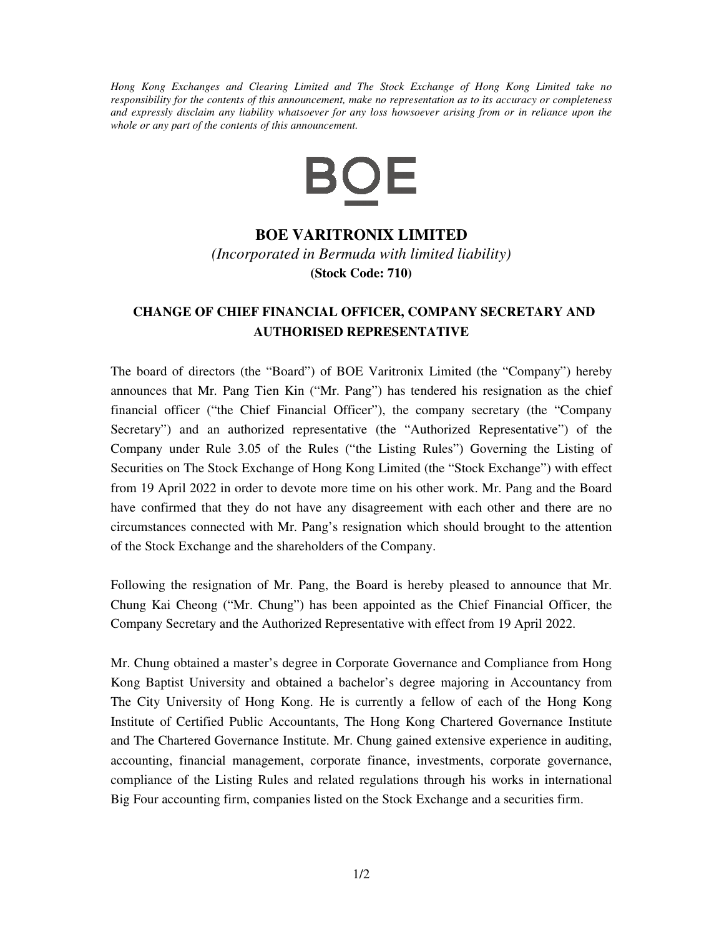*Hong Kong Exchanges and Clearing Limited and The Stock Exchange of Hong Kong Limited take no responsibility for the contents of this announcement, make no representation as to its accuracy or completeness and expressly disclaim any liability whatsoever for any loss howsoever arising from or in reliance upon the whole or any part of the contents of this announcement.* 



## **BOE VARITRONIX LIMITED**

*(Incorporated in Bermuda with limited liability)*  **(Stock Code: 710)**

## **CHANGE OF CHIEF FINANCIAL OFFICER, COMPANY SECRETARY AND AUTHORISED REPRESENTATIVE**

The board of directors (the "Board") of BOE Varitronix Limited (the "Company") hereby announces that Mr. Pang Tien Kin ("Mr. Pang") has tendered his resignation as the chief financial officer ("the Chief Financial Officer"), the company secretary (the "Company Secretary") and an authorized representative (the "Authorized Representative") of the Company under Rule 3.05 of the Rules ("the Listing Rules") Governing the Listing of Securities on The Stock Exchange of Hong Kong Limited (the "Stock Exchange") with effect from 19 April 2022 in order to devote more time on his other work. Mr. Pang and the Board have confirmed that they do not have any disagreement with each other and there are no circumstances connected with Mr. Pang's resignation which should brought to the attention of the Stock Exchange and the shareholders of the Company.

Following the resignation of Mr. Pang, the Board is hereby pleased to announce that Mr. Chung Kai Cheong ("Mr. Chung") has been appointed as the Chief Financial Officer, the Company Secretary and the Authorized Representative with effect from 19 April 2022.

Mr. Chung obtained a master's degree in Corporate Governance and Compliance from Hong Kong Baptist University and obtained a bachelor's degree majoring in Accountancy from The City University of Hong Kong. He is currently a fellow of each of the Hong Kong Institute of Certified Public Accountants, The Hong Kong Chartered Governance Institute and The Chartered Governance Institute. Mr. Chung gained extensive experience in auditing, accounting, financial management, corporate finance, investments, corporate governance, compliance of the Listing Rules and related regulations through his works in international Big Four accounting firm, companies listed on the Stock Exchange and a securities firm.